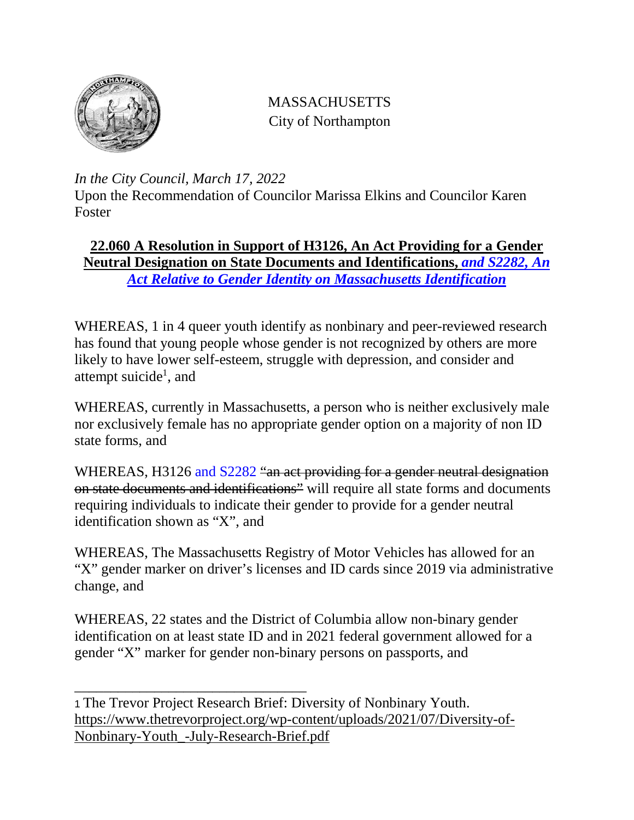

## MASSACHUSETTS City of Northampton

*In the City Council, March 17, 2022*

Upon the Recommendation of Councilor Marissa Elkins and Councilor Karen Foster

## **22.060 A Resolution in Support of H3126, An Act Providing for a Gender Neutral Designation on State Documents and Identifications,** *and S2282, An Act Relative to Gender Identity on Massachusetts Identification*

WHEREAS, 1 in 4 queer youth identify as nonbinary and peer-reviewed research has found that young people whose gender is not recognized by others are more likely to have lower self-esteem, struggle with depression, and consider and attempt suicide<sup>1</sup>, and

WHEREAS, currently in Massachusetts, a person who is neither exclusively male nor exclusively female has no appropriate gender option on a majority of non ID state forms, and

WHEREAS, H3126 and S2282 "an act providing for a gender neutral designation on state documents and identifications" will require all state forms and documents requiring individuals to indicate their gender to provide for a gender neutral identification shown as "X", and

WHEREAS, The Massachusetts Registry of Motor Vehicles has allowed for an "X" gender marker on driver's licenses and ID cards since 2019 via administrative change, and

WHEREAS, 22 states and the District of Columbia allow non-binary gender identification on at least state ID and in 2021 federal government allowed for a gender "X" marker for gender non-binary persons on passports, and

\_\_\_\_\_\_\_\_\_\_\_\_\_\_\_\_\_\_\_\_\_\_\_\_\_\_\_\_\_\_\_\_

<sup>1</sup> The Trevor Project Research Brief: Diversity of Nonbinary Youth. [https://www.thetrevorproject.org/wp-content/uploads/2021/07/Diversity-of-](https://www.thetrevorproject.org/wp-content/uploads/2021/07/Diversity-of-Nonbinary-Youth_-July-Research-Brief.pdf)[Nonbinary-Youth\\_-July-Research-Brief.pdf](https://www.thetrevorproject.org/wp-content/uploads/2021/07/Diversity-of-Nonbinary-Youth_-July-Research-Brief.pdf)